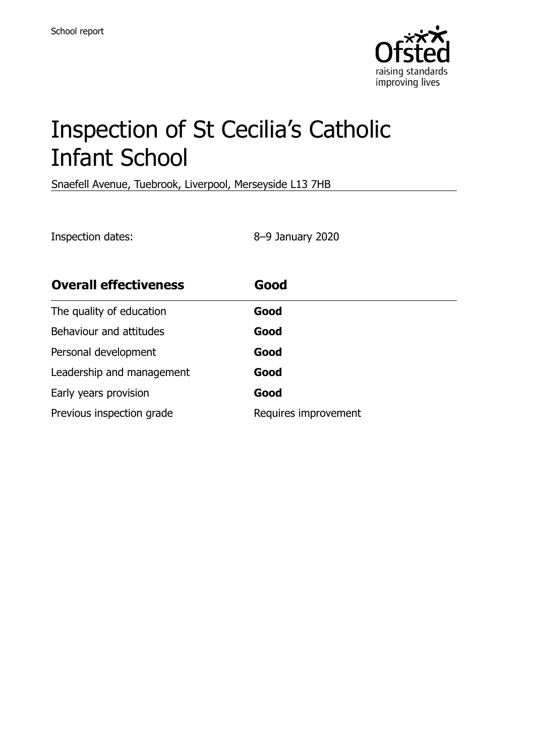

# Inspection of St Cecilia's Catholic Infant School

Snaefell Avenue, Tuebrook, Liverpool, Merseyside L13 7HB

Inspection dates: 8–9 January 2020

| <b>Overall effectiveness</b> | Good                 |
|------------------------------|----------------------|
| The quality of education     | Good                 |
| Behaviour and attitudes      | Good                 |
| Personal development         | Good                 |
| Leadership and management    | Good                 |
| Early years provision        | Good                 |
| Previous inspection grade    | Requires improvement |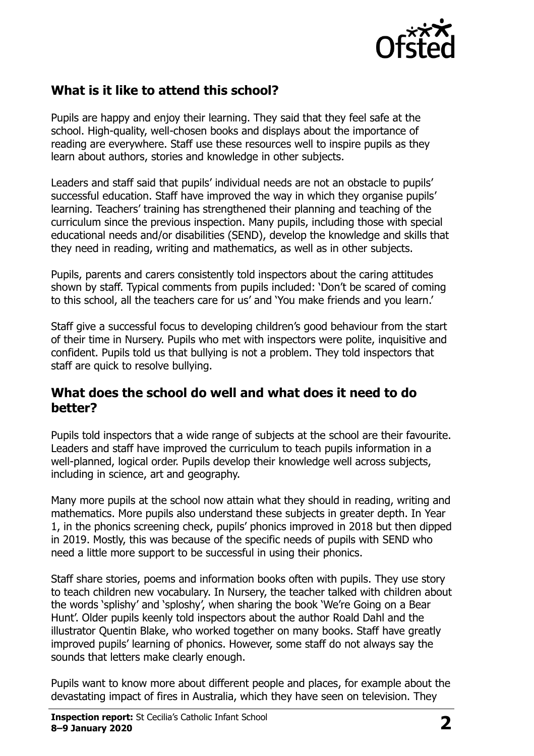

# **What is it like to attend this school?**

Pupils are happy and enjoy their learning. They said that they feel safe at the school. High-quality, well-chosen books and displays about the importance of reading are everywhere. Staff use these resources well to inspire pupils as they learn about authors, stories and knowledge in other subjects.

Leaders and staff said that pupils' individual needs are not an obstacle to pupils' successful education. Staff have improved the way in which they organise pupils' learning. Teachers' training has strengthened their planning and teaching of the curriculum since the previous inspection. Many pupils, including those with special educational needs and/or disabilities (SEND), develop the knowledge and skills that they need in reading, writing and mathematics, as well as in other subjects.

Pupils, parents and carers consistently told inspectors about the caring attitudes shown by staff. Typical comments from pupils included: 'Don't be scared of coming to this school, all the teachers care for us' and 'You make friends and you learn.'

Staff give a successful focus to developing children's good behaviour from the start of their time in Nursery. Pupils who met with inspectors were polite, inquisitive and confident. Pupils told us that bullying is not a problem. They told inspectors that staff are quick to resolve bullying.

#### **What does the school do well and what does it need to do better?**

Pupils told inspectors that a wide range of subjects at the school are their favourite. Leaders and staff have improved the curriculum to teach pupils information in a well-planned, logical order. Pupils develop their knowledge well across subjects, including in science, art and geography.

Many more pupils at the school now attain what they should in reading, writing and mathematics. More pupils also understand these subjects in greater depth. In Year 1, in the phonics screening check, pupils' phonics improved in 2018 but then dipped in 2019. Mostly, this was because of the specific needs of pupils with SEND who need a little more support to be successful in using their phonics.

Staff share stories, poems and information books often with pupils. They use story to teach children new vocabulary. In Nursery, the teacher talked with children about the words 'splishy' and 'sploshy', when sharing the book 'We're Going on a Bear Hunt'. Older pupils keenly told inspectors about the author Roald Dahl and the illustrator Quentin Blake, who worked together on many books. Staff have greatly improved pupils' learning of phonics. However, some staff do not always say the sounds that letters make clearly enough.

Pupils want to know more about different people and places, for example about the devastating impact of fires in Australia, which they have seen on television. They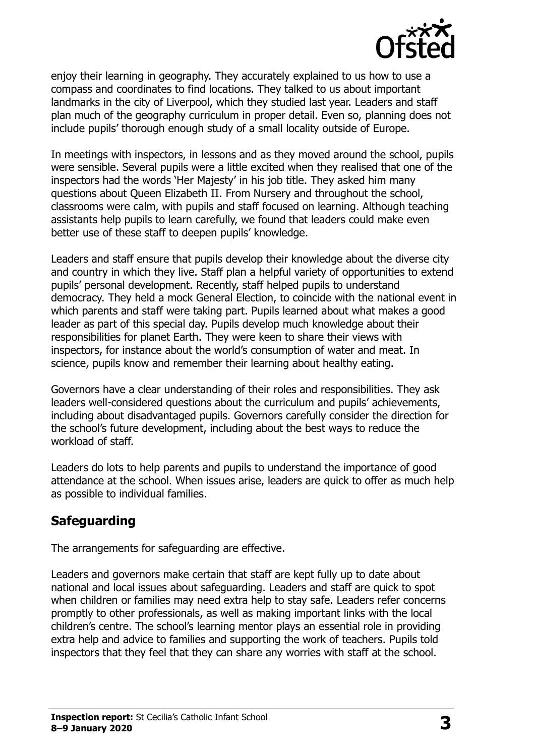

enjoy their learning in geography. They accurately explained to us how to use a compass and coordinates to find locations. They talked to us about important landmarks in the city of Liverpool, which they studied last year. Leaders and staff plan much of the geography curriculum in proper detail. Even so, planning does not include pupils' thorough enough study of a small locality outside of Europe.

In meetings with inspectors, in lessons and as they moved around the school, pupils were sensible. Several pupils were a little excited when they realised that one of the inspectors had the words 'Her Majesty' in his job title. They asked him many questions about Queen Elizabeth II. From Nursery and throughout the school, classrooms were calm, with pupils and staff focused on learning. Although teaching assistants help pupils to learn carefully, we found that leaders could make even better use of these staff to deepen pupils' knowledge.

Leaders and staff ensure that pupils develop their knowledge about the diverse city and country in which they live. Staff plan a helpful variety of opportunities to extend pupils' personal development. Recently, staff helped pupils to understand democracy. They held a mock General Election, to coincide with the national event in which parents and staff were taking part. Pupils learned about what makes a good leader as part of this special day. Pupils develop much knowledge about their responsibilities for planet Earth. They were keen to share their views with inspectors, for instance about the world's consumption of water and meat. In science, pupils know and remember their learning about healthy eating.

Governors have a clear understanding of their roles and responsibilities. They ask leaders well-considered questions about the curriculum and pupils' achievements, including about disadvantaged pupils. Governors carefully consider the direction for the school's future development, including about the best ways to reduce the workload of staff.

Leaders do lots to help parents and pupils to understand the importance of good attendance at the school. When issues arise, leaders are quick to offer as much help as possible to individual families.

# **Safeguarding**

The arrangements for safeguarding are effective.

Leaders and governors make certain that staff are kept fully up to date about national and local issues about safeguarding. Leaders and staff are quick to spot when children or families may need extra help to stay safe. Leaders refer concerns promptly to other professionals, as well as making important links with the local children's centre. The school's learning mentor plays an essential role in providing extra help and advice to families and supporting the work of teachers. Pupils told inspectors that they feel that they can share any worries with staff at the school.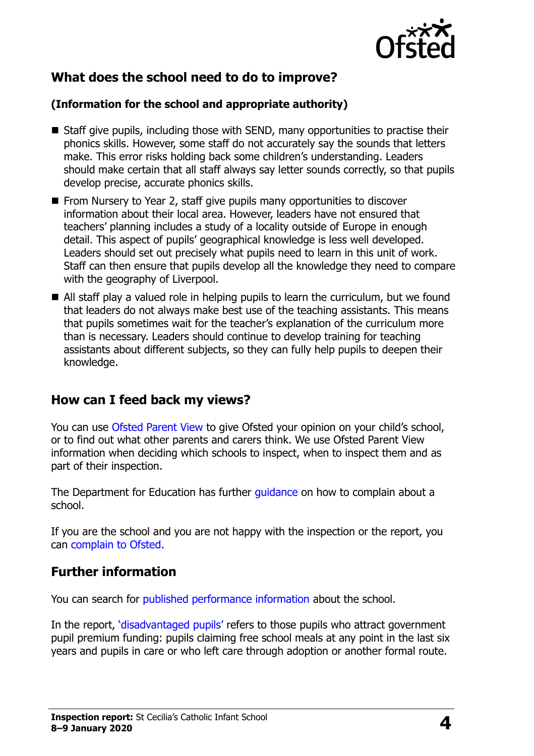

# **What does the school need to do to improve?**

#### **(Information for the school and appropriate authority)**

- Staff give pupils, including those with SEND, many opportunities to practise their phonics skills. However, some staff do not accurately say the sounds that letters make. This error risks holding back some children's understanding. Leaders should make certain that all staff always say letter sounds correctly, so that pupils develop precise, accurate phonics skills.
- From Nursery to Year 2, staff give pupils many opportunities to discover information about their local area. However, leaders have not ensured that teachers' planning includes a study of a locality outside of Europe in enough detail. This aspect of pupils' geographical knowledge is less well developed. Leaders should set out precisely what pupils need to learn in this unit of work. Staff can then ensure that pupils develop all the knowledge they need to compare with the geography of Liverpool.
- All staff play a valued role in helping pupils to learn the curriculum, but we found that leaders do not always make best use of the teaching assistants. This means that pupils sometimes wait for the teacher's explanation of the curriculum more than is necessary. Leaders should continue to develop training for teaching assistants about different subjects, so they can fully help pupils to deepen their knowledge.

### **How can I feed back my views?**

You can use [Ofsted Parent View](http://parentview.ofsted.gov.uk/) to give Ofsted your opinion on your child's school, or to find out what other parents and carers think. We use Ofsted Parent View information when deciding which schools to inspect, when to inspect them and as part of their inspection.

The Department for Education has further quidance on how to complain about a school.

If you are the school and you are not happy with the inspection or the report, you can [complain to Ofsted.](http://www.gov.uk/complain-ofsted-report)

### **Further information**

You can search for [published performance information](http://www.compare-school-performance.service.gov.uk/) about the school.

In the report, '[disadvantaged pupils](http://www.gov.uk/guidance/pupil-premium-information-for-schools-and-alternative-provision-settings)' refers to those pupils who attract government pupil premium funding: pupils claiming free school meals at any point in the last six years and pupils in care or who left care through adoption or another formal route.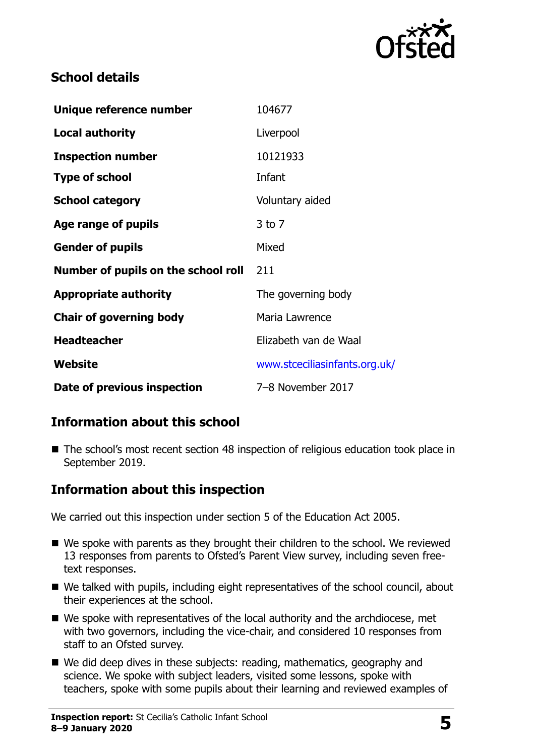

# **School details**

| Unique reference number             | 104677                        |
|-------------------------------------|-------------------------------|
| <b>Local authority</b>              | Liverpool                     |
| <b>Inspection number</b>            | 10121933                      |
| <b>Type of school</b>               | Infant                        |
| <b>School category</b>              | Voluntary aided               |
| Age range of pupils                 | $3$ to $7$                    |
| <b>Gender of pupils</b>             | Mixed                         |
| Number of pupils on the school roll | 211                           |
| <b>Appropriate authority</b>        | The governing body            |
| <b>Chair of governing body</b>      | Maria Lawrence                |
| <b>Headteacher</b>                  | Elizabeth van de Waal         |
| Website                             | www.stceciliasinfants.org.uk/ |
| Date of previous inspection         | 7-8 November 2017             |

# **Information about this school**

■ The school's most recent section 48 inspection of religious education took place in September 2019.

### **Information about this inspection**

We carried out this inspection under section 5 of the Education Act 2005.

- We spoke with parents as they brought their children to the school. We reviewed 13 responses from parents to Ofsted's Parent View survey, including seven freetext responses.
- We talked with pupils, including eight representatives of the school council, about their experiences at the school.
- We spoke with representatives of the local authority and the archdiocese, met with two governors, including the vice-chair, and considered 10 responses from staff to an Ofsted survey.
- We did deep dives in these subjects: reading, mathematics, geography and science. We spoke with subject leaders, visited some lessons, spoke with teachers, spoke with some pupils about their learning and reviewed examples of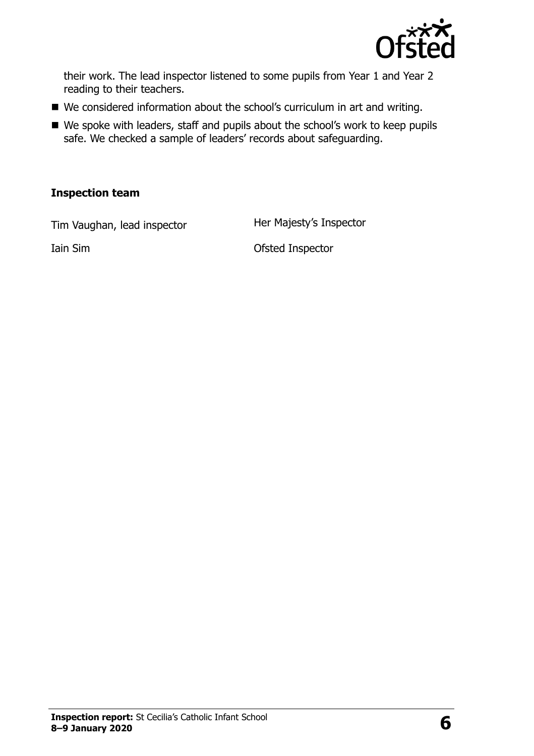

their work. The lead inspector listened to some pupils from Year 1 and Year 2 reading to their teachers.

- We considered information about the school's curriculum in art and writing.
- We spoke with leaders, staff and pupils about the school's work to keep pupils safe. We checked a sample of leaders' records about safeguarding.

#### **Inspection team**

Tim Vaughan, lead inspector **Her Majesty's Inspector** 

Iain Sim Ofsted Inspector